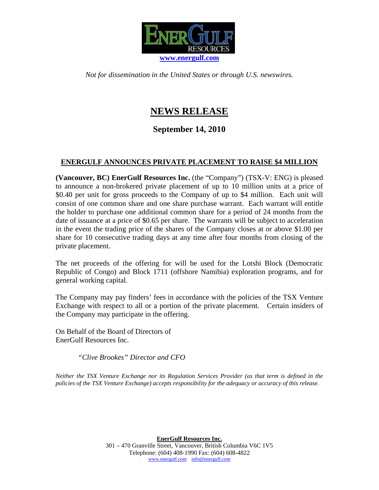

*Not for dissemination in the United States or through U.S. newswires.* 

## **NEWS RELEASE**

## **September 14, 2010**

## **ENERGULF ANNOUNCES PRIVATE PLACEMENT TO RAISE \$4 MILLION**

**(Vancouver, BC) EnerGulf Resources Inc.** (the "Company") (TSX-V: ENG) is pleased to announce a non-brokered private placement of up to 10 million units at a price of \$0.40 per unit for gross proceeds to the Company of up to \$4 million. Each unit will consist of one common share and one share purchase warrant. Each warrant will entitle the holder to purchase one additional common share for a period of 24 months from the date of issuance at a price of \$0.65 per share. The warrants will be subject to acceleration in the event the trading price of the shares of the Company closes at or above \$1.00 per share for 10 consecutive trading days at any time after four months from closing of the private placement.

The net proceeds of the offering for will be used for the Lotshi Block (Democratic Republic of Congo) and Block 1711 (offshore Namibia) exploration programs, and for general working capital.

The Company may pay finders' fees in accordance with the policies of the TSX Venture Exchange with respect to all or a portion of the private placement. Certain insiders of the Company may participate in the offering.

On Behalf of the Board of Directors of EnerGulf Resources Inc.

*"Clive Brookes" Director and CFO* 

*Neither the TSX Venture Exchange nor its Regulation Services Provider (as that term is defined in the policies of the TSX Venture Exchange) accepts responsibility for the adequacy or accuracy of this release.*